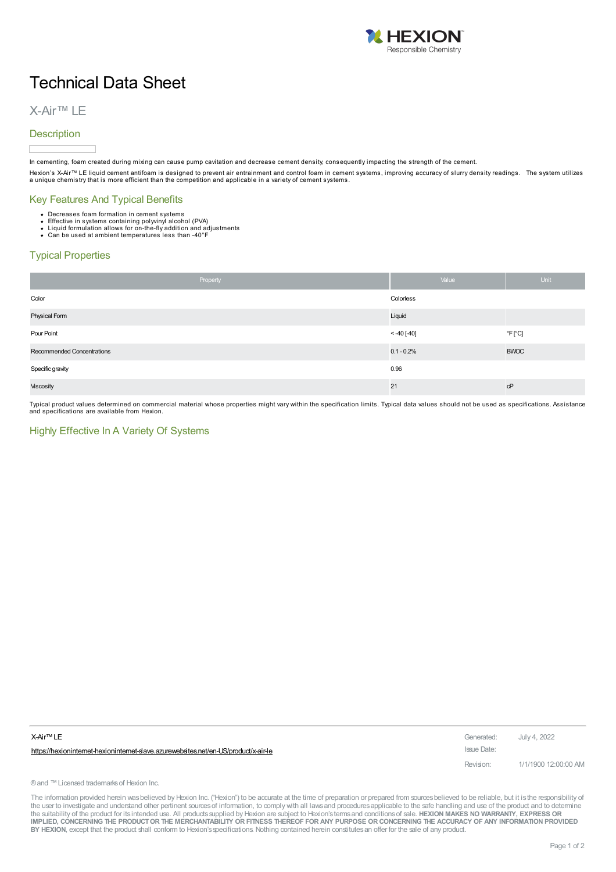

## Technical Data Sheet

## X-Air™ LE

## **Description**

In cementing, foam created during mixing can cause pump cavitation and decrease cement density, consequently impacting the strength of the cement.

Hexion's X-Air™ LE liquid cement antifoam is designed to prevent air entrainment and control foam in cement systems, improving accuracy of slurry density readings. The system utilizes<br>a unique chemistry that is more effic

### Key Features And Typical Benefits

- 
- Decreases foam formation in cement systems<br>Effective in systems containing polyvinyl alcohol (PVA)<br>Liquid formulation allows for on-the-fly addition and adjustments<br>Can be used at ambient temperatures less than -40°F
- 

## Typical Properties

| Property                   | Value         | <b>Unit</b>                 |
|----------------------------|---------------|-----------------------------|
| Color                      | Colorless     |                             |
| Physical Form              | Liquid        |                             |
| Pour Point                 | $< -40$ [-40] | $^{\circ}$ F[ $^{\circ}$ C] |
| Recommended Concentrations | $0.1 - 0.2%$  | <b>BWOC</b>                 |
| Specific gravity           | 0.96          |                             |
| Viscosity                  | 21            | cP                          |

Typical product values determined on commercial material whose properties might vary within the specification limits. Typical data values should not be used as specifications. Assistance and specifications are available from Hexion.

### Highly Effective In A Variety Of Systems

| X-Air™ LE                                                                          | Generated:  | July 4, 2022         |
|------------------------------------------------------------------------------------|-------------|----------------------|
| https://hexionintemet-hexionintemet-slave.azurewebsites.net/en-US/product/x-air-le | Issue Date: |                      |
|                                                                                    | Revision:   | 1/1/1900 12:00:00 AM |

® and ™ Licensed trademarks of Hexion Inc.

The information provided herein was believed by Hexion Inc. ("Hexion") to be accurate at the time of preparation or prepared from sources believed to be reliable, but it is the responsibility of the user to investigate and understand other pertinent sources of information, to comply with all laws and procedures applicable to the safe handling and use of the product and to determine the suitability of the product for itsintended use. All productssupplied by Hexion are subject to Hexion'stermsand conditionsof sale. **HEXION MAKES NO WARRANTY, EXPRESS OR** IMPLIED, CONCERNING THE PRODUCT OR THE MERCHANTABILITY OR FITNESS THEREOF FOR ANY PURPOSE OR CONCERNING THE ACCURACY OF ANY INFORMATION PROVIDED **BY HEXION**, except that the product shall conform to Hexion'sspecifications. Nothing contained herein constitutesan offer for the sale of any product.